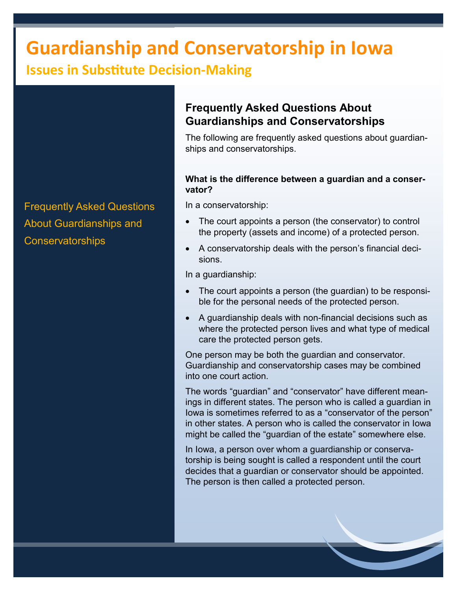# **Guardianship and Conservatorship in Iowa**

# **Issues in Substitute Decision-Making**

Frequently Asked Questions About Guardianships and **Conservatorships** 

## **Frequently Asked Questions About Guardianships and Conservatorships**

The following are frequently asked questions about guardianships and conservatorships.

## **What is the difference between a guardian and a conservator?**

In a conservatorship:

- The court appoints a person (the conservator) to control the property (assets and income) of a protected person.
- A conservatorship deals with the person's financial decisions.

In a guardianship:

- The court appoints a person (the guardian) to be responsible for the personal needs of the protected person.
- A guardianship deals with non-financial decisions such as where the protected person lives and what type of medical care the protected person gets.

One person may be both the guardian and conservator. Guardianship and conservatorship cases may be combined into one court action.

The words "guardian" and "conservator" have different meanings in different states. The person who is called a guardian in Iowa is sometimes referred to as a "conservator of the person" in other states. A person who is called the conservator in Iowa might be called the "guardian of the estate" somewhere else.

In Iowa, a person over whom a guardianship or conservatorship is being sought is called a respondent until the court decides that a guardian or conservator should be appointed. The person is then called a protected person.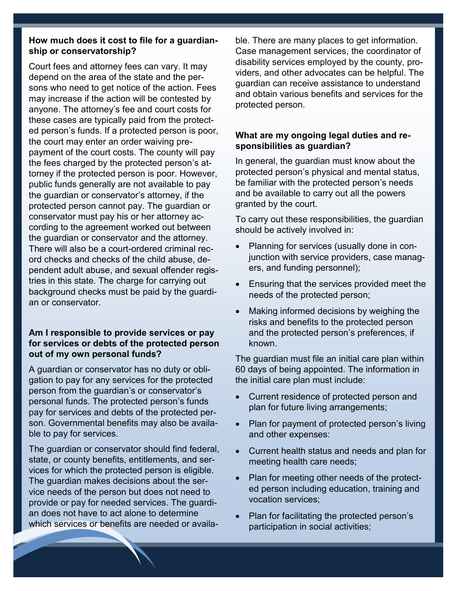### **How much does it cost to file for a guardianship or conservatorship?**

Court fees and attorney fees can vary. It may depend on the area of the state and the persons who need to get notice of the action. Fees may increase if the action will be contested by anyone. The attorney's fee and court costs for these cases are typically paid from the protected person's funds. If a protected person is poor, the court may enter an order waiving prepayment of the court costs. The county will pay the fees charged by the protected person's attorney if the protected person is poor. However, public funds generally are not available to pay the guardian or conservator's attorney, if the protected person cannot pay. The guardian or conservator must pay his or her attorney according to the agreement worked out between the guardian or conservator and the attorney. There will also be a court-ordered criminal record checks and checks of the child abuse, dependent adult abuse, and sexual offender registries in this state. The charge for carrying out background checks must be paid by the guardian or conservator.

#### **Am I responsible to provide services or pay for services or debts of the protected person out of my own personal funds?**

A guardian or conservator has no duty or obligation to pay for any services for the protected person from the guardian's or conservator's personal funds. The protected person's funds pay for services and debts of the protected person. Governmental benefits may also be available to pay for services.

The guardian or conservator should find federal, state, or county benefits, entitlements, and services for which the protected person is eligible. The guardian makes decisions about the service needs of the person but does not need to provide or pay for needed services. The guardian does not have to act alone to determine which services or benefits are needed or available. There are many places to get information. Case management services, the coordinator of disability services employed by the county, providers, and other advocates can be helpful. The guardian can receive assistance to understand and obtain various benefits and services for the protected person.

#### **What are my ongoing legal duties and responsibilities as guardian?**

In general, the guardian must know about the protected person's physical and mental status, be familiar with the protected person's needs and be available to carry out all the powers granted by the court.

To carry out these responsibilities, the guardian should be actively involved in:

- Planning for services (usually done in conjunction with service providers, case managers, and funding personnel);
- Ensuring that the services provided meet the needs of the protected person;
- Making informed decisions by weighing the risks and benefits to the protected person and the protected person's preferences, if known.

The guardian must file an initial care plan within 60 days of being appointed. The information in the initial care plan must include:

- Current residence of protected person and plan for future living arrangements;
- Plan for payment of protected person's living and other expenses:
- Current health status and needs and plan for meeting health care needs;
- Plan for meeting other needs of the protected person including education, training and vocation services;
- Plan for facilitating the protected person's participation in social activities;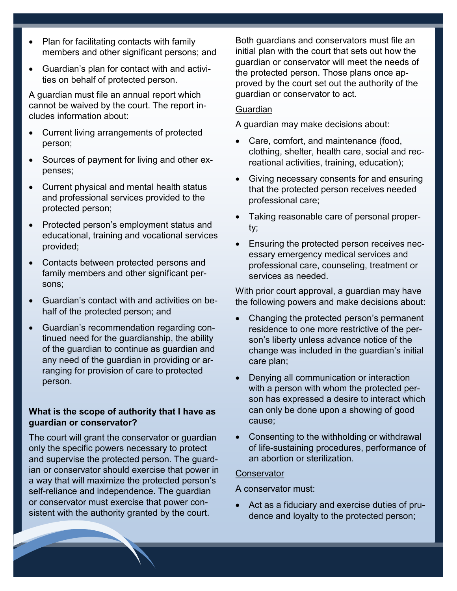- Plan for facilitating contacts with family members and other significant persons; and
- Guardian's plan for contact with and activities on behalf of protected person.

A guardian must file an annual report which cannot be waived by the court. The report includes information about:

- Current living arrangements of protected person;
- Sources of payment for living and other expenses;
- Current physical and mental health status and professional services provided to the protected person;
- Protected person's employment status and educational, training and vocational services provided;
- Contacts between protected persons and family members and other significant persons;
- Guardian's contact with and activities on behalf of the protected person; and
- Guardian's recommendation regarding continued need for the guardianship, the ability of the guardian to continue as guardian and any need of the guardian in providing or arranging for provision of care to protected person.

#### **What is the scope of authority that I have as guardian or conservator?**

The court will grant the conservator or guardian only the specific powers necessary to protect and supervise the protected person. The guardian or conservator should exercise that power in a way that will maximize the protected person's self-reliance and independence. The guardian or conservator must exercise that power consistent with the authority granted by the court.

Both guardians and conservators must file an initial plan with the court that sets out how the guardian or conservator will meet the needs of the protected person. Those plans once approved by the court set out the authority of the guardian or conservator to act.

#### **Guardian**

A guardian may make decisions about:

- Care, comfort, and maintenance (food, clothing, shelter, health care, social and recreational activities, training, education);
- Giving necessary consents for and ensuring that the protected person receives needed professional care;
- Taking reasonable care of personal property;
- Ensuring the protected person receives necessary emergency medical services and professional care, counseling, treatment or services as needed.

With prior court approval, a guardian may have the following powers and make decisions about:

- Changing the protected person's permanent residence to one more restrictive of the person's liberty unless advance notice of the change was included in the guardian's initial care plan;
- Denying all communication or interaction with a person with whom the protected person has expressed a desire to interact which can only be done upon a showing of good cause;
- Consenting to the withholding or withdrawal of life-sustaining procedures, performance of an abortion or sterilization.

#### **Conservator**

A conservator must:

• Act as a fiduciary and exercise duties of prudence and loyalty to the protected person;